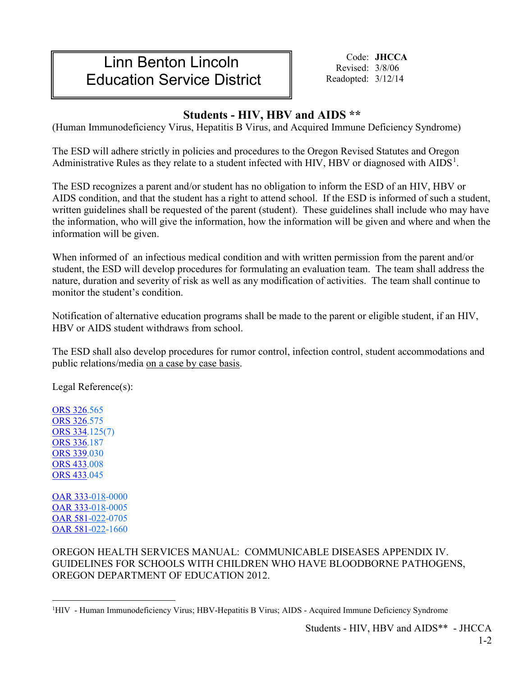## Linn Benton Lincoln Education Service District

Code: **JHCCA** Revised: 3/8/06 Readopted: 3/12/14

## **Students - HIV, HBV and AIDS \*\***

(Human Immunodeficiency Virus, Hepatitis B Virus, and Acquired Immune Deficiency Syndrome)

The ESD will adhere strictly in policies and procedures to the Oregon Revised Statutes and Oregon Administrative Rules as they relate to a student infected with HIV, HBV or diagnosed with AIDS<sup>[1](#page-0-0)</sup>.

The ESD recognizes a parent and/or student has no obligation to inform the ESD of an HIV, HBV or AIDS condition, and that the student has a right to attend school. If the ESD is informed of such a student, written guidelines shall be requested of the parent (student). These guidelines shall include who may have the information, who will give the information, how the information will be given and where and when the information will be given.

When informed of an infectious medical condition and with written permission from the parent and/or student, the ESD will develop procedures for formulating an evaluation team. The team shall address the nature, duration and severity of risk as well as any modification of activities. The team shall continue to monitor the student's condition.

Notification of alternative education programs shall be made to the parent or eligible student, if an HIV, HBV or AIDS student withdraws from school.

The ESD shall also develop procedures for rumor control, infection control, student accommodations and public relations/media on a case by case basis.

Legal Reference(s):

[ORS 326.](https://www.oregonlegislature.gov/bills_laws/ors/ors326.html)565 [ORS 326.](https://www.oregonlegislature.gov/bills_laws/ors/ors326.html)575 [ORS 334.](https://www.oregonlaws.org/ors/chapter/334)125(7) [ORS 336.](https://www.oregonlegislature.gov/bills_laws/ors/ors336.html)187 [ORS 339.](https://www.oregonlegislature.gov/bills_laws/ors/ors339.html)030 [ORS 433.](https://www.oregonlegislature.gov/bills_laws/ors/ors433.html)008 [ORS 433.](https://www.oregonlegislature.gov/bills_laws/ors/ors433.html)045

[OAR 333-](https://secure.sos.state.or.us/oard/displayChapterRules.action?selectedChapter=89)018-0000 [OAR 333-](https://secure.sos.state.or.us/oard/displayChapterRules.action?selectedChapter=89)018-0005 [OAR 581-](https://secure.sos.state.or.us/oard/displayChapterRules.action?selectedChapter=137)022-0705 [OAR 581-](https://secure.sos.state.or.us/oard/displayChapterRules.action?selectedChapter=137)022-1660

OREGON HEALTH SERVICES MANUAL: COMMUNICABLE DISEASES APPENDIX IV. GUIDELINES FOR SCHOOLS WITH CHILDREN WHO HAVE BLOODBORNE PATHOGENS, OREGON DEPARTMENT OF EDUCATION 2012.

<span id="page-0-0"></span> $\frac{1}{1}$ <sup>1</sup>HIV - Human Immunodeficiency Virus; HBV-Hepatitis B Virus; AIDS - Acquired Immune Deficiency Syndrome